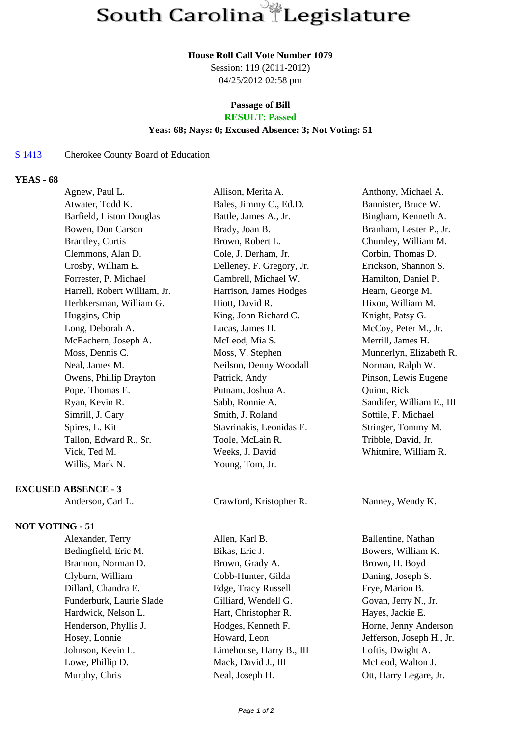## **House Roll Call Vote Number 1079**

Session: 119 (2011-2012) 04/25/2012 02:58 pm

# **Passage of Bill**

# **RESULT: Passed**

## **Yeas: 68; Nays: 0; Excused Absence: 3; Not Voting: 51**

## S 1413 Cherokee County Board of Education

### **YEAS - 68**

| Agnew, Paul L.               | Allison, Merita A.        | Anthony, Michael A.       |
|------------------------------|---------------------------|---------------------------|
| Atwater, Todd K.             | Bales, Jimmy C., Ed.D.    | Bannister, Bruce W.       |
| Barfield, Liston Douglas     | Battle, James A., Jr.     | Bingham, Kenneth A.       |
| Bowen, Don Carson            | Brady, Joan B.            | Branham, Lester P., Jr.   |
| <b>Brantley, Curtis</b>      | Brown, Robert L.          | Chumley, William M.       |
| Clemmons, Alan D.            | Cole, J. Derham, Jr.      | Corbin, Thomas D.         |
| Crosby, William E.           | Delleney, F. Gregory, Jr. | Erickson, Shannon S.      |
| Forrester, P. Michael        | Gambrell, Michael W.      | Hamilton, Daniel P.       |
| Harrell, Robert William, Jr. | Harrison, James Hodges    | Hearn, George M.          |
| Herbkersman, William G.      | Hiott, David R.           | Hixon, William M.         |
| Huggins, Chip                | King, John Richard C.     | Knight, Patsy G.          |
| Long, Deborah A.             | Lucas, James H.           | McCoy, Peter M., Jr.      |
| McEachern, Joseph A.         | McLeod, Mia S.            | Merrill, James H.         |
| Moss, Dennis C.              | Moss, V. Stephen          | Munnerlyn, Elizabeth R.   |
| Neal, James M.               | Neilson, Denny Woodall    | Norman, Ralph W.          |
| Owens, Phillip Drayton       | Patrick, Andy             | Pinson, Lewis Eugene      |
| Pope, Thomas E.              | Putnam, Joshua A.         | Quinn, Rick               |
| Ryan, Kevin R.               | Sabb, Ronnie A.           | Sandifer, William E., III |
| Simrill, J. Gary             | Smith, J. Roland          | Sottile, F. Michael       |
| Spires, L. Kit               | Stavrinakis, Leonidas E.  | Stringer, Tommy M.        |
| Tallon, Edward R., Sr.       | Toole, McLain R.          | Tribble, David, Jr.       |
| Vick, Ted M.                 | Weeks, J. David           | Whitmire, William R.      |
| Willis, Mark N.              | Young, Tom, Jr.           |                           |
| <b>EXCUSED ABSENCE - 3</b>   |                           |                           |
| Anderson, Carl L.            | Crawford, Kristopher R.   | Nanney, Wendy K.          |
|                              |                           |                           |

### **NOT VOTING - 51**

| Alexander, Terry         | Allen, Karl B.           | Ballentine, Nathan        |
|--------------------------|--------------------------|---------------------------|
| Bedingfield, Eric M.     | Bikas, Eric J.           | Bowers, William K.        |
| Brannon, Norman D.       | Brown, Grady A.          | Brown, H. Boyd            |
| Clyburn, William         | Cobb-Hunter, Gilda       | Daning, Joseph S.         |
| Dillard, Chandra E.      | Edge, Tracy Russell      | Frye, Marion B.           |
| Funderburk, Laurie Slade | Gilliard, Wendell G.     | Govan, Jerry N., Jr.      |
| Hardwick, Nelson L.      | Hart, Christopher R.     | Hayes, Jackie E.          |
| Henderson, Phyllis J.    | Hodges, Kenneth F.       | Horne, Jenny Anderson     |
| Hosey, Lonnie            | Howard, Leon             | Jefferson, Joseph H., Jr. |
| Johnson, Kevin L.        | Limehouse, Harry B., III | Loftis, Dwight A.         |
| Lowe, Phillip D.         | Mack, David J., III      | McLeod, Walton J.         |
| Murphy, Chris            | Neal, Joseph H.          | Ott, Harry Legare, Jr.    |
|                          |                          |                           |